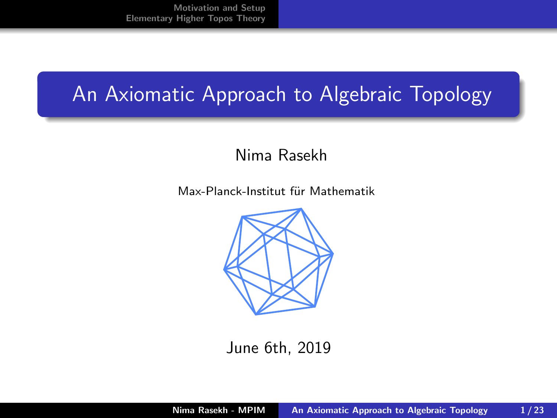### <span id="page-0-0"></span>An Axiomatic Approach to Algebraic Topology

#### Nima Rasekh

Max-Planck-Institut für Mathematik



June 6th, 2019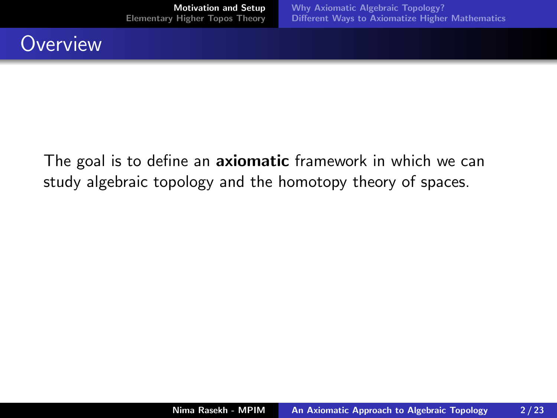#### <span id="page-1-0"></span>**Overview**

The goal is to define an **axiomatic** framework in which we can study algebraic topology and the homotopy theory of spaces.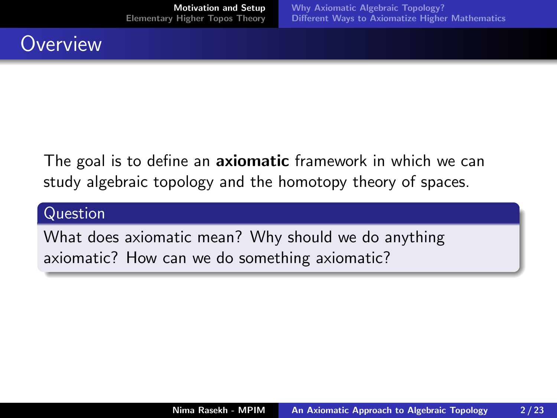### **Overview**

The goal is to define an **axiomatic** framework in which we can study algebraic topology and the homotopy theory of spaces.

#### Question

What does axiomatic mean? Why should we do anything axiomatic? How can we do something axiomatic?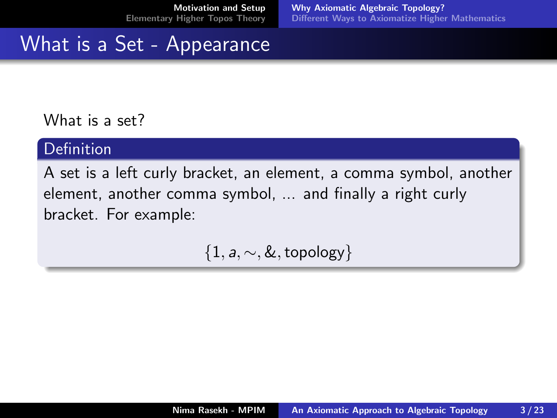### <span id="page-3-0"></span>What is a Set - Appearance

#### What is a set?

#### Definition

A set is a left curly bracket, an element, a comma symbol, another element, another comma symbol, ... and finally a right curly bracket. For example:

 $\{1, a, \sim, \&, \text{topology}\}\$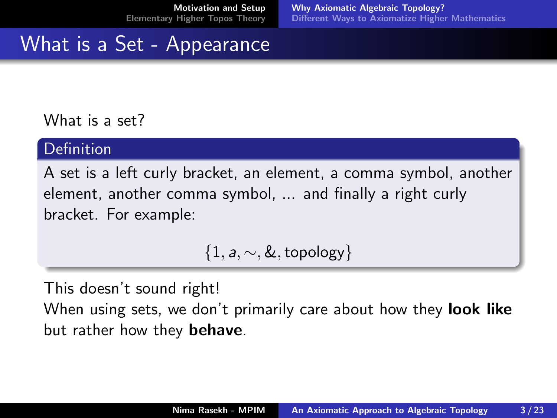### <span id="page-4-0"></span>What is a Set - Appearance

#### What is a set?

#### Definition

A set is a left curly bracket, an element, a comma symbol, another element, another comma symbol, ... and finally a right curly bracket. For example:

 $\{1, a, \sim, \&, \text{topology}\}\$ 

This doesn't sound right!

When using sets, we don't primarily care about how they **look like** but rather how they behave.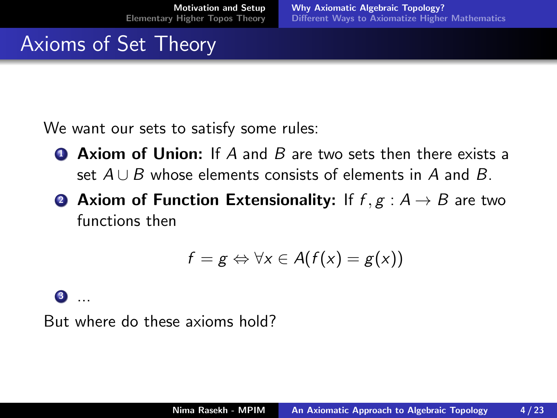## Axioms of Set Theory

We want our sets to satisfy some rules:

- **4 Axiom of Union:** If A and B are two sets then there exists a set  $A \cup B$  whose elements consists of elements in A and B.
- **2 Axiom of Function Extensionality:** If  $f, g : A \rightarrow B$  are two functions then

$$
f=g \Leftrightarrow \forall x \in A(f(x)=g(x))
$$

#### <sup>3</sup> ...

But where do these axioms hold?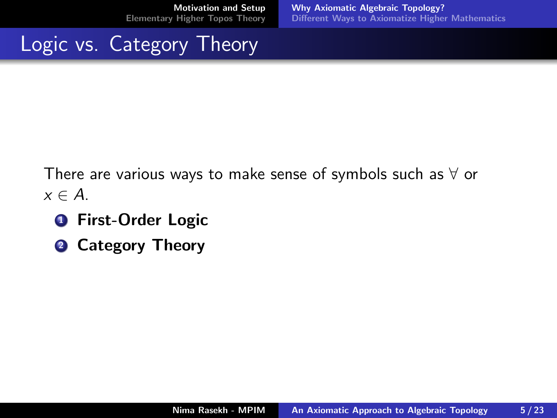### Logic vs. Category Theory

There are various ways to make sense of symbols such as  $\forall$  or  $x \in A$ .

- **1** First-Order Logic
- **2 Category Theory**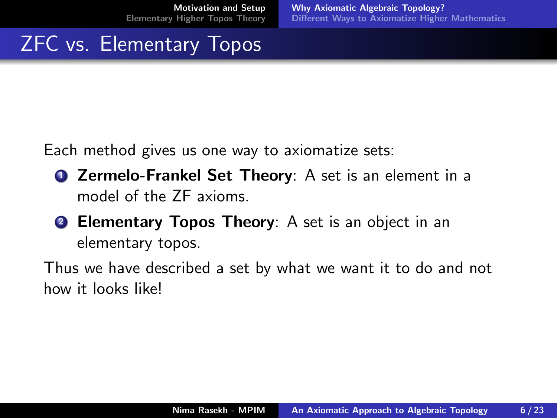### ZFC vs. Elementary Topos

Each method gives us one way to axiomatize sets:

- **1** Zermelo-Frankel Set Theory: A set is an element in a model of the ZF axioms.
- **2 Elementary Topos Theory:** A set is an object in an elementary topos.

Thus we have described a set by what we want it to do and not how it looks like!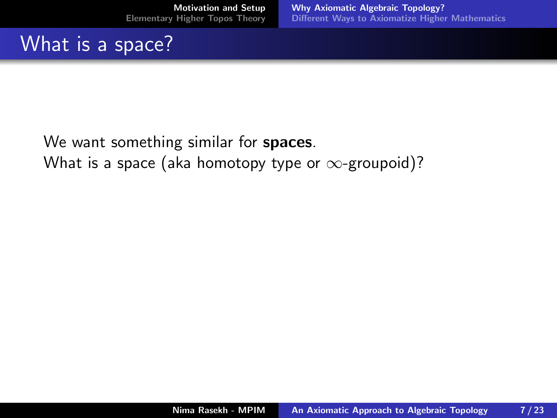# What is a space?

We want something similar for **spaces**. What is a space (aka homotopy type or  $\infty$ -groupoid)?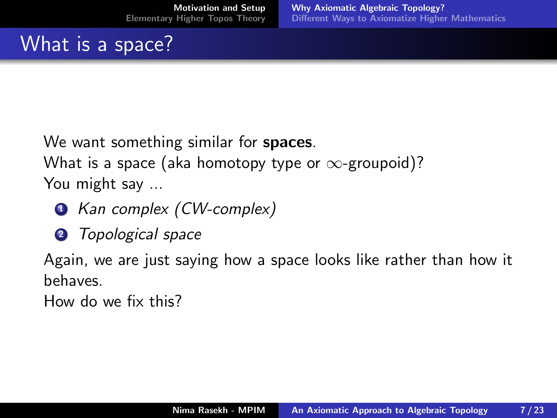# What is a space?

We want something similar for **spaces**. What is a space (aka homotopy type or  $\infty$ -groupoid)?

You might say ...

- Kan complex (CW-complex)
- **2** Topological space

Again, we are just saying how a space looks like rather than how it behaves.

How do we fix this?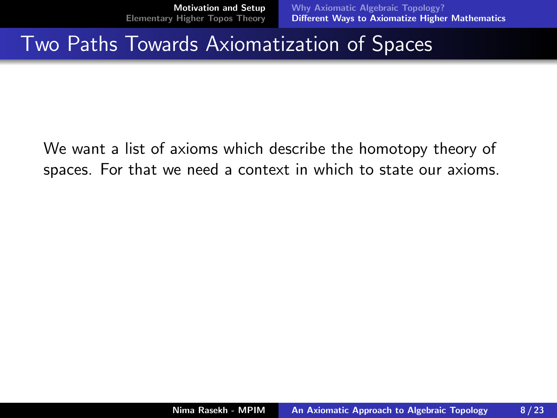#### <span id="page-10-0"></span>Two Paths Towards Axiomatization of Spaces

We want a list of axioms which describe the homotopy theory of spaces. For that we need a context in which to state our axioms.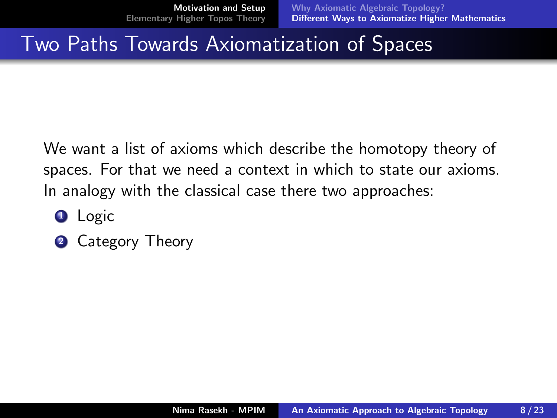### Two Paths Towards Axiomatization of Spaces

We want a list of axioms which describe the homotopy theory of spaces. For that we need a context in which to state our axioms. In analogy with the classical case there two approaches:

- **Q** Logic
- **2** Category Theory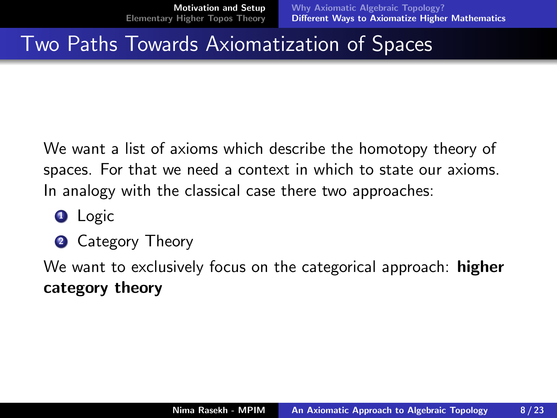### <span id="page-12-0"></span>Two Paths Towards Axiomatization of Spaces

We want a list of axioms which describe the homotopy theory of spaces. For that we need a context in which to state our axioms. In analogy with the classical case there two approaches:

- **Q** Logic
- **2** Category Theory

We want to exclusively focus on the categorical approach: **higher** category theory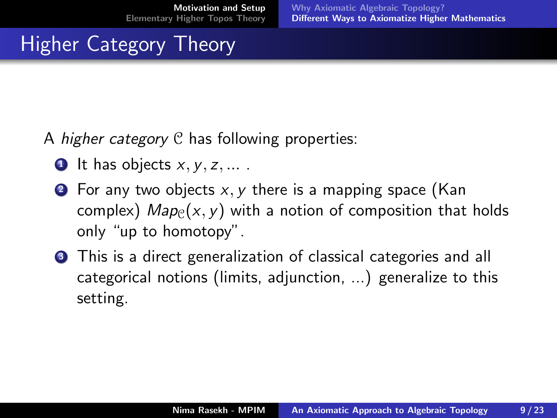# Higher Category Theory

A *higher category* C has following properties:

- **1** It has objects  $x, y, z, ...$ .
- **2** For any two objects  $x, y$  there is a mapping space (Kan complex)  $Map(x, y)$  with a notion of composition that holds only "up to homotopy".
- **3** This is a direct generalization of classical categories and all categorical notions (limits, adjunction, ...) generalize to this setting.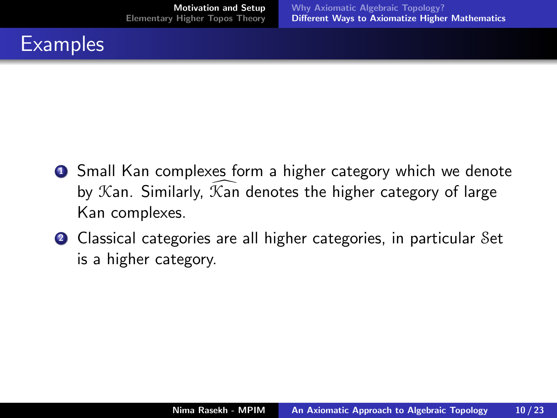

- **1** Small Kan complexes form a higher category which we denote by  $K$ an. Similarly,  $K$ an denotes the higher category of large Kan complexes.
- <sup>2</sup> Classical categories are all higher categories, in particular Set is a higher category.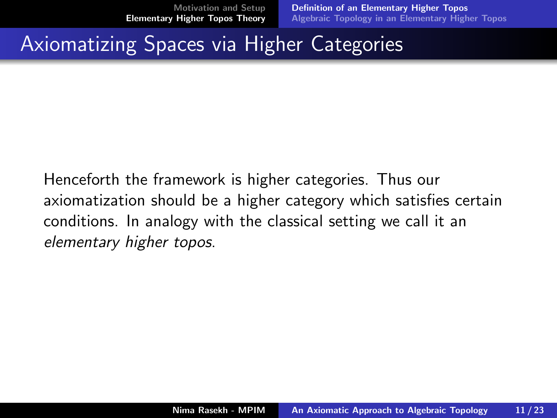#### <span id="page-15-0"></span>Axiomatizing Spaces via Higher Categories

Henceforth the framework is higher categories. Thus our axiomatization should be a higher category which satisfies certain conditions. In analogy with the classical setting we call it an elementary higher topos.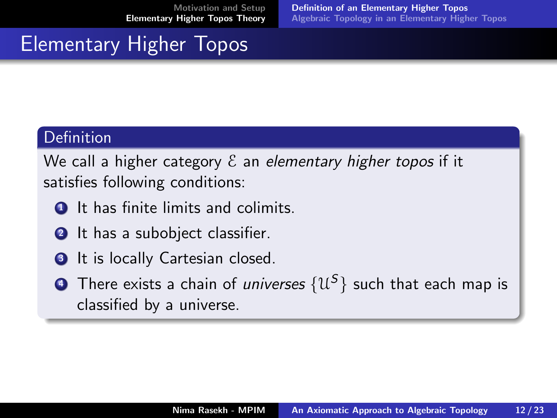### Elementary Higher Topos

#### **Definition**

We call a higher category  $\mathcal E$  an elementary higher topos if it satisfies following conditions:

- $\bullet$  It has finite limits and colimits.
- **2** It has a subobject classifier.
- **3** It is locally Cartesian closed.
- $\bullet$  There exists a chain of *universes*  $\{\mathfrak{U}^{\mathcal{S}}\}$  such that each map is classified by a universe.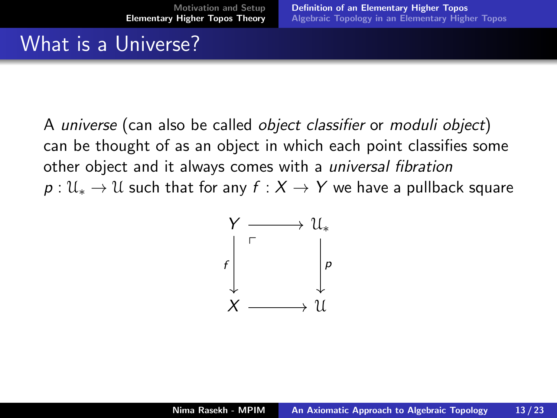### What is a Universe?

A universe (can also be called object classifier or moduli object) can be thought of as an object in which each point classifies some other object and it always comes with a universal fibration  $p: \mathcal{U}_* \to \mathcal{U}$  such that for any  $f: X \to Y$  we have a pullback square

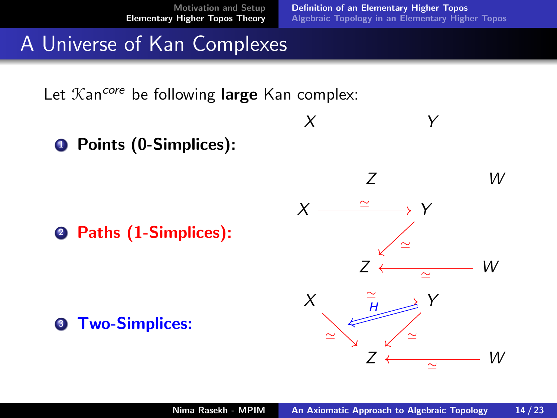$X$   $Y$ 

### A Universe of Kan Complexes

Let  $\mathcal{K}$ an<sup>core</sup> be following large Kan complex:

**4 Points (0-Simplices):** 

<sup>2</sup> Paths (1-Simplices):

Z W  $X \xrightarrow{\;\;\;\;\cong\;\;} Y$  $Z \leftarrow \sim \sim \sim \sim W$  $\simeq$  $\simeq$  $X \longrightarrow \frac{2}{H} \longrightarrow Y$  $Z \leftarrow \sim \sim \sim \sim W$  $\simeq$  ' $\simeq$ H

**3** Two-Simplices: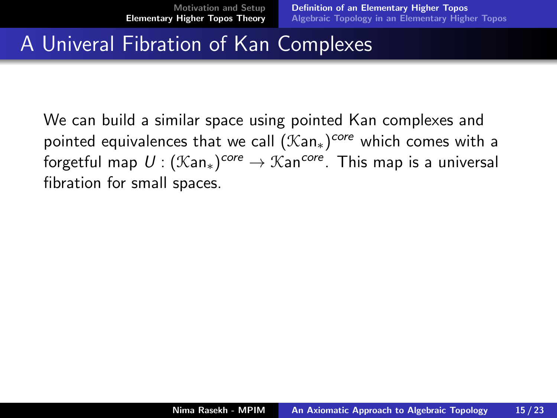### A Univeral Fibration of Kan Complexes

We can build a similar space using pointed Kan complexes and pointed equivalences that we call  $(\mathfrak{Kan}_*)^{core}$  which comes with a forgetful map  $U$  :  $(\mathfrak{Kan}_*)^{core} \to \mathfrak{Kan}^{core}.$  This map is a universal fibration for small spaces.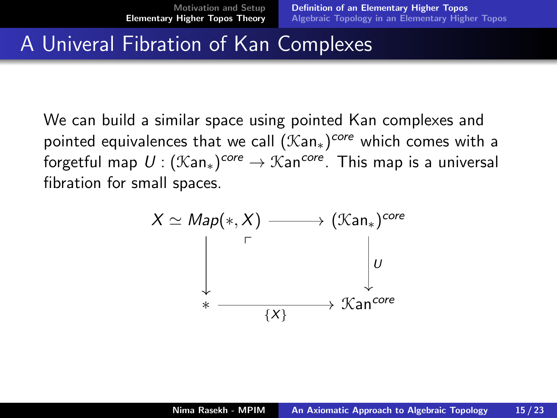### A Univeral Fibration of Kan Complexes

We can build a similar space using pointed Kan complexes and pointed equivalences that we call  $(\mathfrak{Kan}_*)^{core}$  which comes with a forgetful map  $U$  :  $(\mathfrak{Kan}_*)^{core} \to \mathfrak{Kan}^{core}.$  This map is a universal fibration for small spaces.

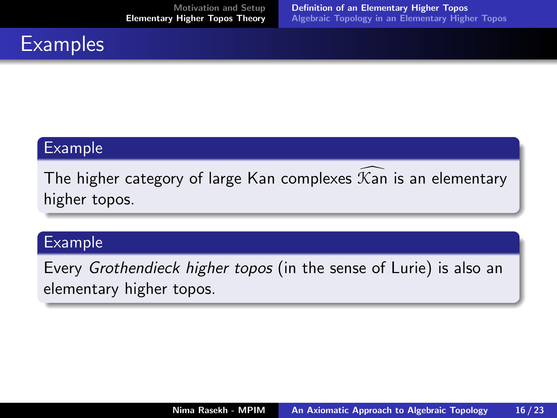# **Examples**

#### Example

The higher category of large Kan complexes  $\mathcal{K}$ an is an elementary higher topos.

#### Example

Every Grothendieck higher topos (in the sense of Lurie) is also an elementary higher topos.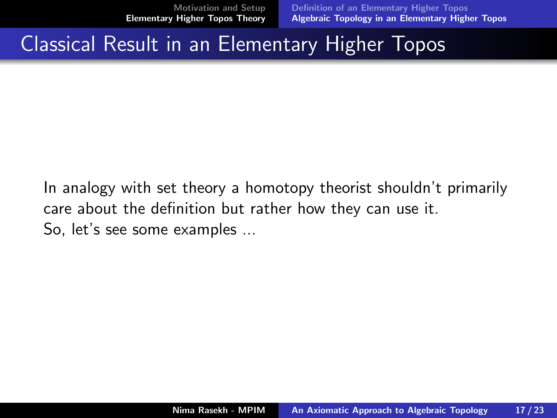### <span id="page-22-0"></span>Classical Result in an Elementary Higher Topos

In analogy with set theory a homotopy theorist shouldn't primarily care about the definition but rather how they can use it. So, let's see some examples ...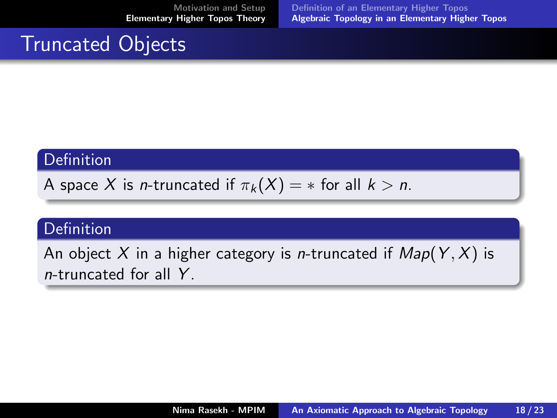### Truncated Objects

#### Definition

A space X is *n*-truncated if  $\pi_k(X) = *$  for all  $k > n$ .

#### Definition

An object X in a higher category is *n*-truncated if  $Map(Y, X)$  is  $n$ -truncated for all  $Y$ .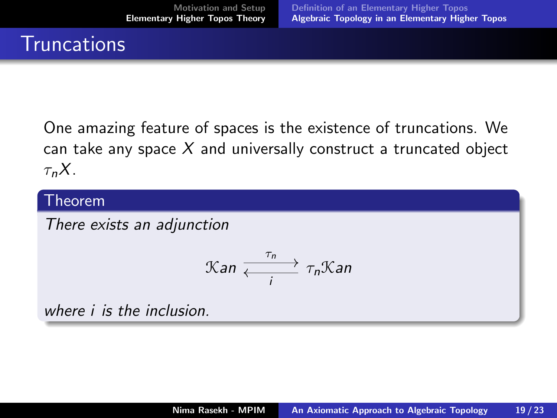### **Truncations**

One amazing feature of spaces is the existence of truncations. We can take any space  $X$  and universally construct a truncated object  $\tau_n X$ .

#### Theorem

There exists an adjunction

$$
\mathfrak{Kan} \xrightarrow[i]{} \tau_n \mathfrak{Kan}
$$

where *i* is the inclusion.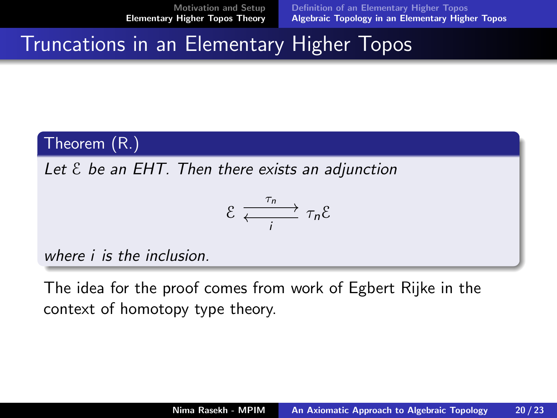[Definition of an Elementary Higher Topos](#page-15-0) [Algebraic Topology in an Elementary Higher Topos](#page-22-0)

### Truncations in an Elementary Higher Topos

#### Theorem (R.)

Let  $\epsilon$  be an EHT. Then there exists an adjunction

$$
\mathcal{E} \xrightarrow[i]{\tau_n} \tau_n \mathcal{E}
$$

where i is the inclusion.

The idea for the proof comes from work of Egbert Rijke in the context of homotopy type theory.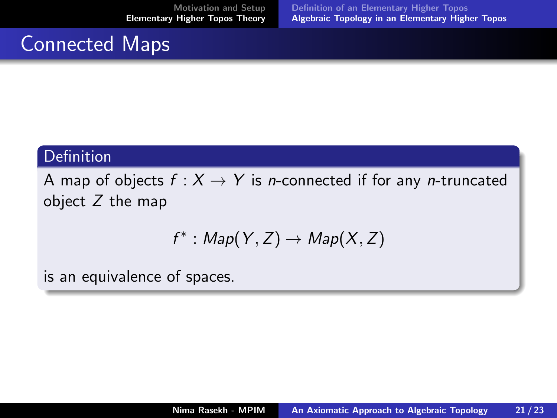### Connected Maps

#### Definition

A map of objects  $f : X \rightarrow Y$  is *n*-connected if for any *n*-truncated object  $Z$  the map

$$
f^*: \text{Map}(Y, Z) \to \text{Map}(X, Z)
$$

is an equivalence of spaces.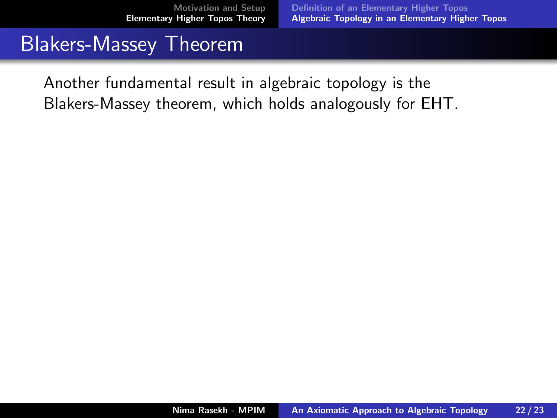#### Blakers-Massey Theorem

Another fundamental result in algebraic topology is the Blakers-Massey theorem, which holds analogously for EHT.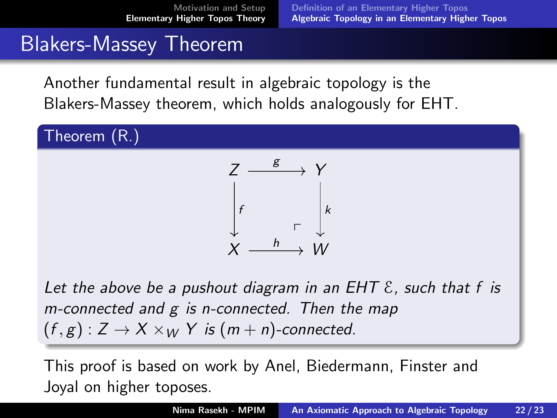### Blakers-Massey Theorem

Another fundamental result in algebraic topology is the Blakers-Massey theorem, which holds analogously for EHT.

Theorem (R.)



Let the above be a pushout diagram in an EHT  $\epsilon$ , such that f is m-connected and g is n-connected. Then the map  $(f, g): Z \to X \times_W Y$  is  $(m + n)$ -connected.

This proof is based on work by Anel, Biedermann, Finster and Joyal on higher toposes.